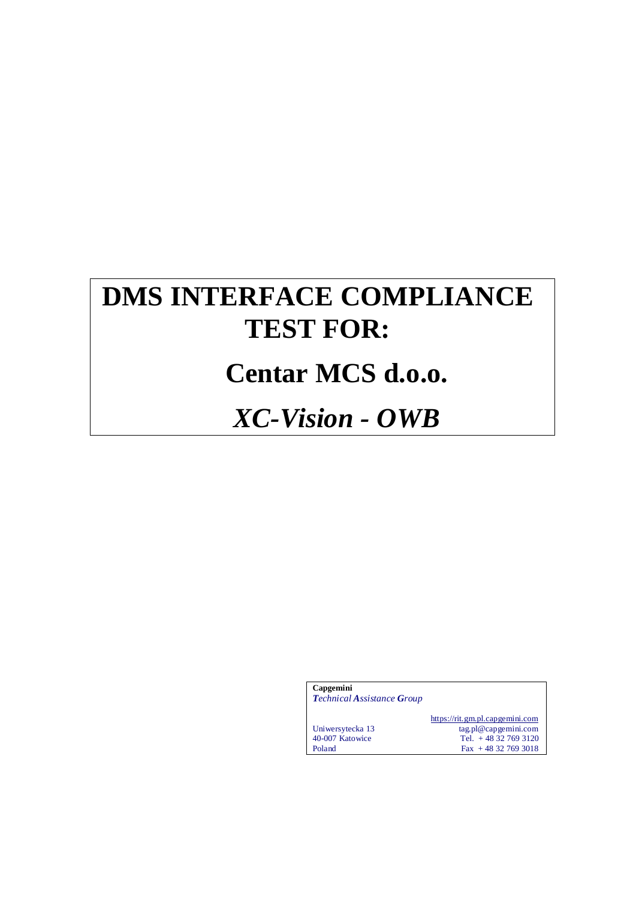# **DMS INTERFACE COMPLIANCE TEST FOR:**

# **Centar MCS d.o.o.**

# *XC-Vision - OWB*

| Capgemini<br><b>Technical Assistance Group</b> |                                                                                                       |
|------------------------------------------------|-------------------------------------------------------------------------------------------------------|
| Uniwersytecka 13<br>40-007 Katowice<br>Poland  | https://rit.gm.pl.capgemini.com<br>tag.pl@capgemini.com<br>Tel. $+48327693120$<br>$Fax + 48327693018$ |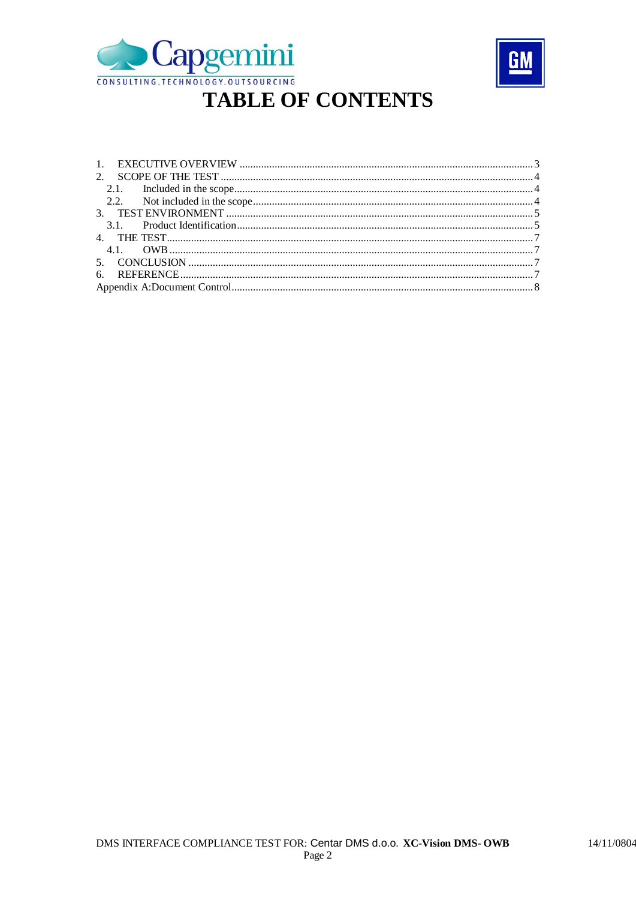



#### $2.1.$  $2.2.$  $3.1.$ 4.1.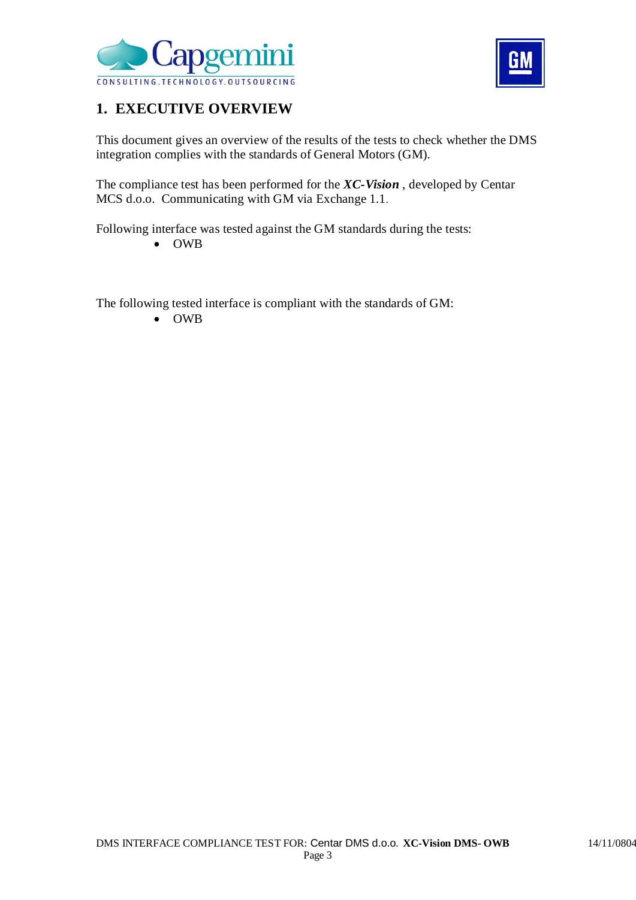



## **1. EXECUTIVE OVERVIEW**

This document gives an overview of the results of the tests to check whether the DMS integration complies with the standards of General Motors (GM).

The compliance test has been performed for the *XC-Vision* , developed by Centar MCS d.o.o. Communicating with GM via Exchange 1.1.

Following interface was tested against the GM standards during the tests:

OWB

The following tested interface is compliant with the standards of GM:

OWB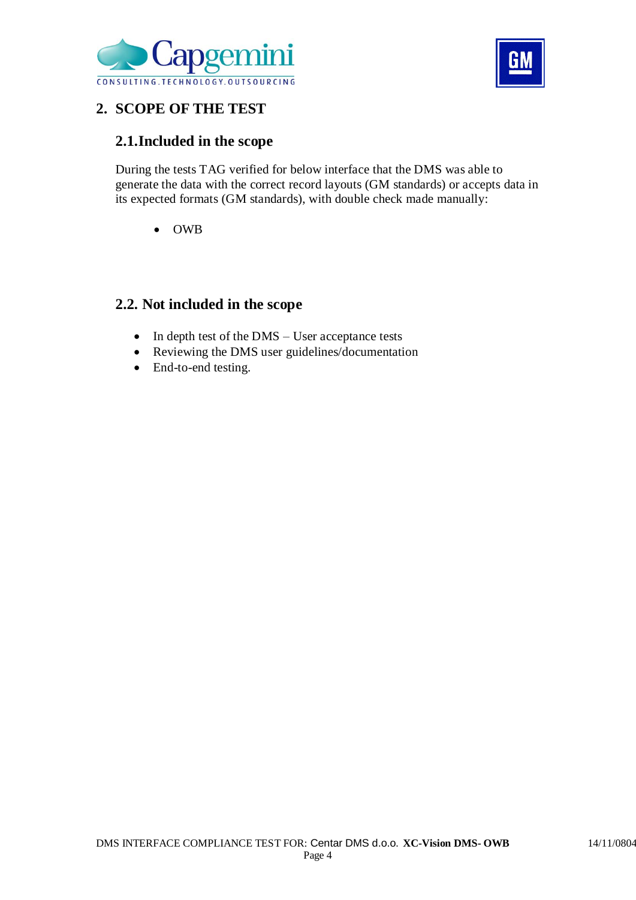



## **2. SCOPE OF THE TEST**

## **2.1.Included in the scope**

During the tests TAG verified for below interface that the DMS was able to generate the data with the correct record layouts (GM standards) or accepts data in its expected formats (GM standards), with double check made manually:

OWB

### **2.2. Not included in the scope**

- In depth test of the DMS User acceptance tests
- Reviewing the DMS user guidelines/documentation
- End-to-end testing.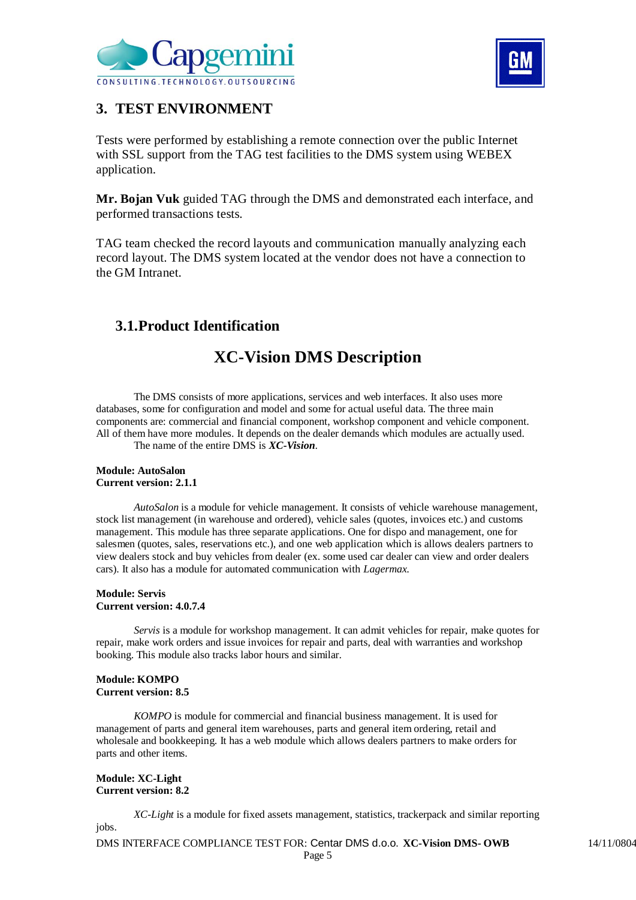



### **3. TEST ENVIRONMENT**

Tests were performed by establishing a remote connection over the public Internet with SSL support from the TAG test facilities to the DMS system using WEBEX application.

**Mr. Bojan Vuk** guided TAG through the DMS and demonstrated each interface, and performed transactions tests.

TAG team checked the record layouts and communication manually analyzing each record layout. The DMS system located at the vendor does not have a connection to the GM Intranet.

## **3.1.Product Identification**

## **XC-Vision DMS Description**

The DMS consists of more applications, services and web interfaces. It also uses more databases, some for configuration and model and some for actual useful data. The three main components are: commercial and financial component, workshop component and vehicle component. All of them have more modules. It depends on the dealer demands which modules are actually used.

The name of the entire DMS is *XC-Vision*.

#### **Module: AutoSalon Current version: 2.1.1**

*AutoSalon* is a module for vehicle management. It consists of vehicle warehouse management, stock list management (in warehouse and ordered), vehicle sales (quotes, invoices etc.) and customs management. This module has three separate applications. One for dispo and management, one for salesmen (quotes, sales, reservations etc.), and one web application which is allows dealers partners to view dealers stock and buy vehicles from dealer (ex. some used car dealer can view and order dealers cars). It also has a module for automated communication with *Lagermax.*

#### **Module: Servis Current version: 4.0.7.4**

*Servis* is a module for workshop management. It can admit vehicles for repair, make quotes for repair, make work orders and issue invoices for repair and parts, deal with warranties and workshop booking. This module also tracks labor hours and similar.

#### **Module: KOMPO Current version: 8.5**

*KOMPO* is module for commercial and financial business management. It is used for management of parts and general item warehouses, parts and general item ordering, retail and wholesale and bookkeeping. It has a web module which allows dealers partners to make orders for parts and other items.

#### **Module: XC-Light Current version: 8.2**

*XC-Light* is a module for fixed assets management, statistics, trackerpack and similar reporting jobs.

DMS INTERFACE COMPLIANCE TEST FOR: Centar DMS d.o.o. **XC-Vision DMS-OWB** 14/11/0804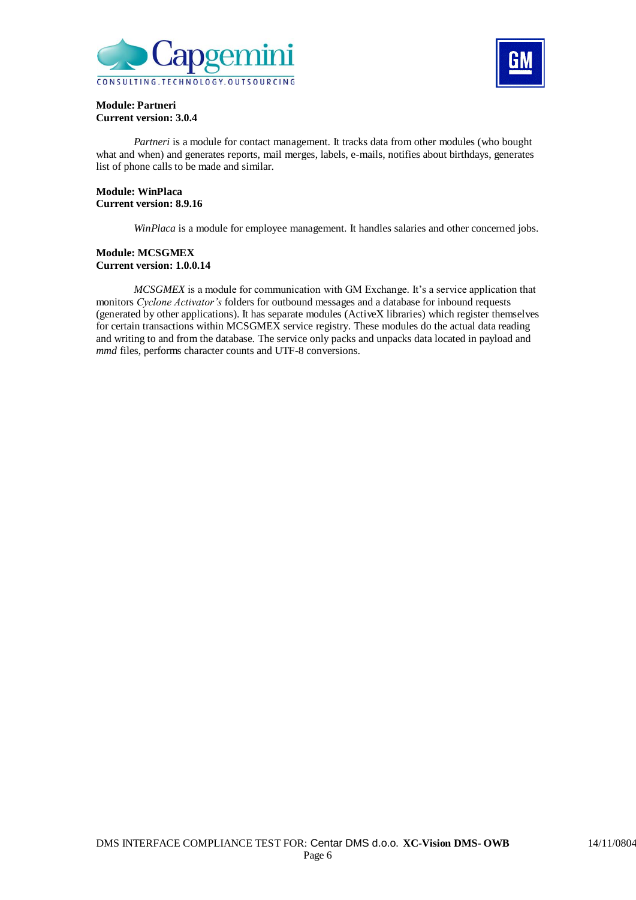



#### **Module: Partneri Current version: 3.0.4**

*Partneri* is a module for contact management. It tracks data from other modules (who bought what and when) and generates reports, mail merges, labels, e-mails, notifies about birthdays, generates list of phone calls to be made and similar.

#### **Module: WinPlaca Current version: 8.9.16**

*WinPlaca* is a module for employee management. It handles salaries and other concerned jobs.

#### **Module: MCSGMEX Current version: 1.0.0.14**

*MCSGMEX* is a module for communication with GM Exchange. It's a service application that monitors *Cyclone Activator's* folders for outbound messages and a database for inbound requests (generated by other applications). It has separate modules (ActiveX libraries) which register themselves for certain transactions within MCSGMEX service registry. These modules do the actual data reading and writing to and from the database. The service only packs and unpacks data located in payload and *mmd* files, performs character counts and UTF-8 conversions.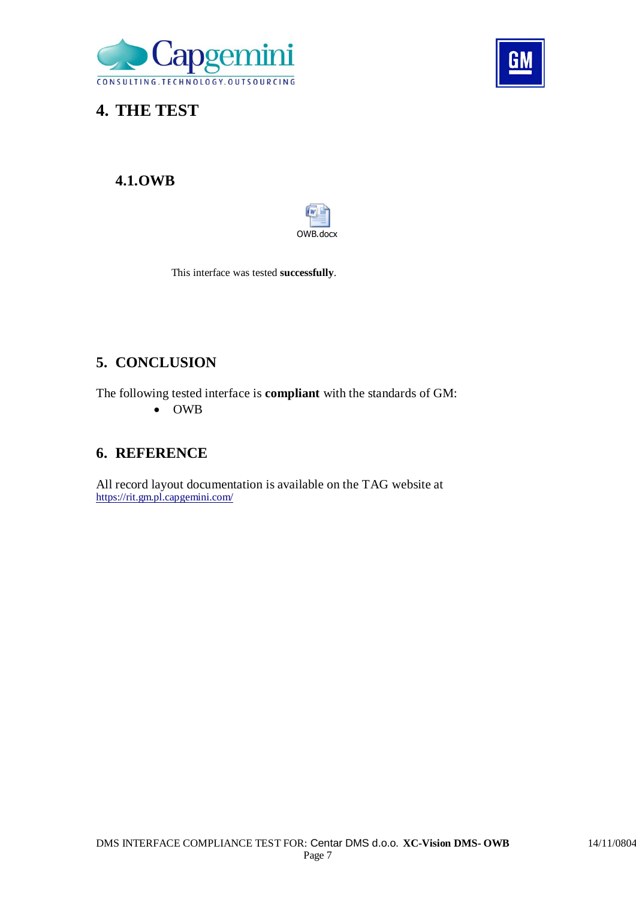



**4. THE TEST**

## **4.1.OWB**



This interface was tested **successfully**.

## **5. CONCLUSION**

The following tested interface is **compliant** with the standards of GM: OWB

### **6. REFERENCE**

All record layout documentation is available on the TAG website at https://rit.gm.pl.capgemini.com/